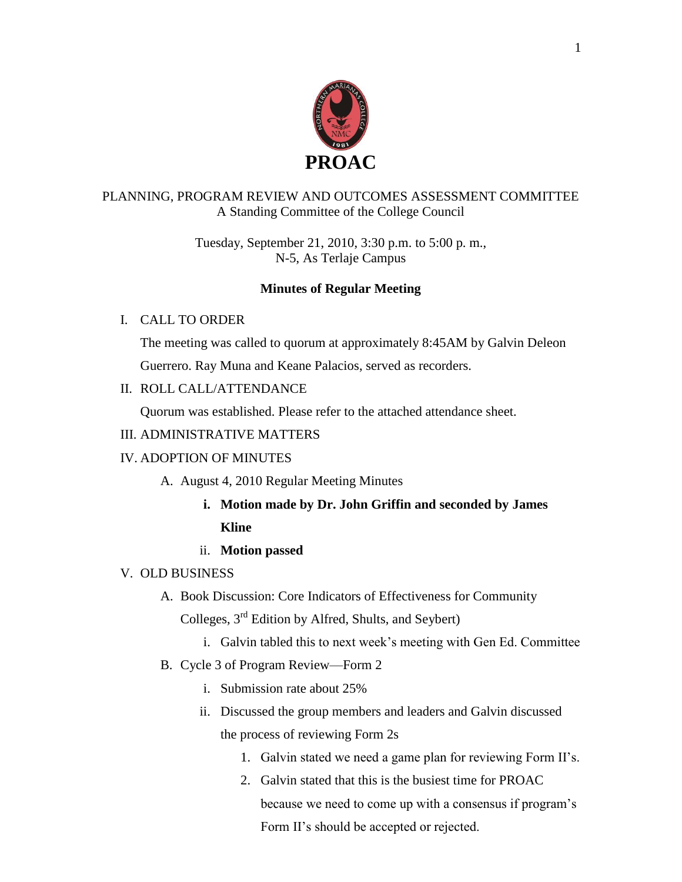

# PLANNING, PROGRAM REVIEW AND OUTCOMES ASSESSMENT COMMITTEE A Standing Committee of the College Council

Tuesday, September 21, 2010, 3:30 p.m. to 5:00 p. m., N-5, As Terlaje Campus

### **Minutes of Regular Meeting**

### I. CALL TO ORDER

The meeting was called to quorum at approximately 8:45AM by Galvin Deleon Guerrero. Ray Muna and Keane Palacios, served as recorders.

### II. ROLL CALL/ATTENDANCE

Quorum was established. Please refer to the attached attendance sheet.

# III. ADMINISTRATIVE MATTERS

# IV. ADOPTION OF MINUTES

- A. August 4, 2010 Regular Meeting Minutes
	- **i. Motion made by Dr. John Griffin and seconded by James Kline**

# ii. **Motion passed**

- V. OLD BUSINESS
	- A. Book Discussion: Core Indicators of Effectiveness for Community

Colleges, 3rd Edition by Alfred, Shults, and Seybert)

- i. Galvin tabled this to next week's meeting with Gen Ed. Committee
- B. Cycle 3 of Program Review—Form 2
	- i. Submission rate about 25%
	- ii. Discussed the group members and leaders and Galvin discussed

the process of reviewing Form 2s

- 1. Galvin stated we need a game plan for reviewing Form II's.
- 2. Galvin stated that this is the busiest time for PROAC because we need to come up with a consensus if program's Form II's should be accepted or rejected.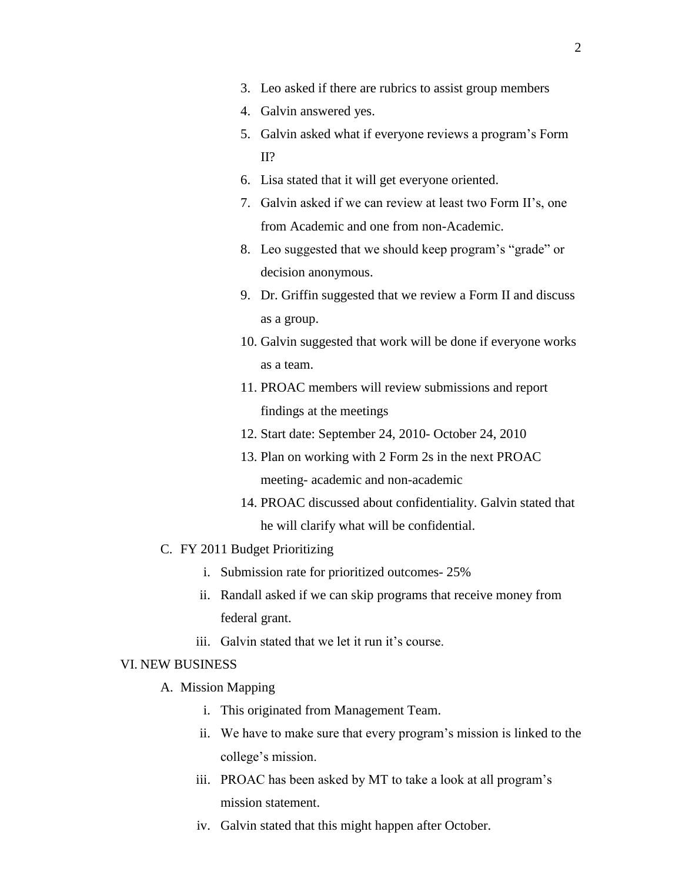- 4. Galvin answered yes.
- 5. Galvin asked what if everyone reviews a program's Form II?
- 6. Lisa stated that it will get everyone oriented.
- 7. Galvin asked if we can review at least two Form II's, one from Academic and one from non-Academic.
- 8. Leo suggested that we should keep program's "grade" or decision anonymous.
- 9. Dr. Griffin suggested that we review a Form II and discuss as a group.
- 10. Galvin suggested that work will be done if everyone works as a team.
- 11. PROAC members will review submissions and report findings at the meetings
- 12. Start date: September 24, 2010- October 24, 2010
- 13. Plan on working with 2 Form 2s in the next PROAC meeting- academic and non-academic
- 14. PROAC discussed about confidentiality. Galvin stated that he will clarify what will be confidential.
- C. FY 2011 Budget Prioritizing
	- i. Submission rate for prioritized outcomes- 25%
	- ii. Randall asked if we can skip programs that receive money from federal grant.
	- iii. Galvin stated that we let it run it's course.

#### VI. NEW BUSINESS

- A. Mission Mapping
	- i. This originated from Management Team.
	- ii. We have to make sure that every program's mission is linked to the college's mission.
	- iii. PROAC has been asked by MT to take a look at all program's mission statement.
	- iv. Galvin stated that this might happen after October.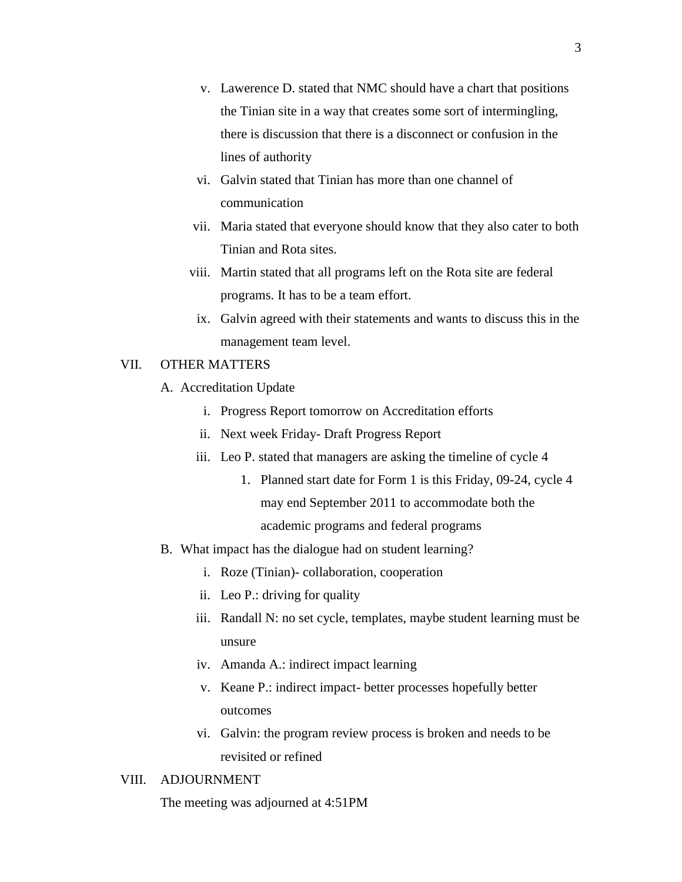- v. Lawerence D. stated that NMC should have a chart that positions the Tinian site in a way that creates some sort of intermingling, there is discussion that there is a disconnect or confusion in the lines of authority
- vi. Galvin stated that Tinian has more than one channel of communication
- vii. Maria stated that everyone should know that they also cater to both Tinian and Rota sites.
- viii. Martin stated that all programs left on the Rota site are federal programs. It has to be a team effort.
	- ix. Galvin agreed with their statements and wants to discuss this in the management team level.

#### VII. OTHER MATTERS

- A. Accreditation Update
	- i. Progress Report tomorrow on Accreditation efforts
	- ii. Next week Friday- Draft Progress Report
	- iii. Leo P. stated that managers are asking the timeline of cycle 4
		- 1. Planned start date for Form 1 is this Friday, 09-24, cycle 4 may end September 2011 to accommodate both the academic programs and federal programs
- B. What impact has the dialogue had on student learning?
	- i. Roze (Tinian)- collaboration, cooperation
	- ii. Leo P.: driving for quality
	- iii. Randall N: no set cycle, templates, maybe student learning must be unsure
	- iv. Amanda A.: indirect impact learning
	- v. Keane P.: indirect impact- better processes hopefully better outcomes
	- vi. Galvin: the program review process is broken and needs to be revisited or refined

#### VIII. ADJOURNMENT

The meeting was adjourned at 4:51PM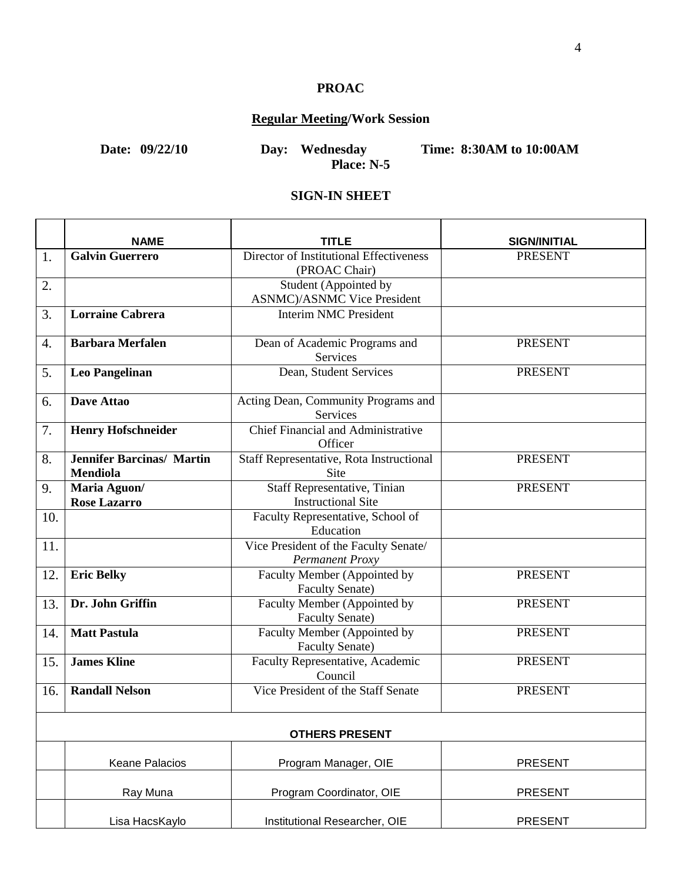# **PROAC**

# **Regular Meeting/Work Session**

**Date: 09/22/10 Day: Wednesday Time: 8:30AM to 10:00AM Place: N-5**

#### **SIGN-IN SHEET**

|                       | <b>NAME</b>                                         | TITLE                                                            | <b>SIGN/INITIAL</b> |  |
|-----------------------|-----------------------------------------------------|------------------------------------------------------------------|---------------------|--|
| 1.                    | <b>Galvin Guerrero</b>                              | Director of Institutional Effectiveness<br>(PROAC Chair)         | <b>PRESENT</b>      |  |
| 2.                    |                                                     | Student (Appointed by<br><b>ASNMC</b> )/ASNMC Vice President     |                     |  |
| 3.                    | <b>Lorraine Cabrera</b>                             | <b>Interim NMC President</b>                                     |                     |  |
| 4.                    | <b>Barbara Merfalen</b>                             | Dean of Academic Programs and<br><b>Services</b>                 | <b>PRESENT</b>      |  |
| 5.                    | <b>Leo Pangelinan</b>                               | Dean, Student Services                                           | <b>PRESENT</b>      |  |
| 6.                    | Dave Attao                                          | Acting Dean, Community Programs and<br>Services                  |                     |  |
| 7.                    | <b>Henry Hofschneider</b>                           | <b>Chief Financial and Administrative</b><br>Officer             |                     |  |
| 8.                    | <b>Jennifer Barcinas/ Martin</b><br><b>Mendiola</b> | Staff Representative, Rota Instructional<br>Site                 | <b>PRESENT</b>      |  |
| 9.                    | Maria Aguon/<br><b>Rose Lazarro</b>                 | <b>Staff Representative, Tinian</b><br><b>Instructional Site</b> | <b>PRESENT</b>      |  |
| 10.                   |                                                     | Faculty Representative, School of<br>Education                   |                     |  |
| 11.                   |                                                     | Vice President of the Faculty Senate/<br>Permanent Proxy         |                     |  |
| 12.                   | <b>Eric Belky</b>                                   | Faculty Member (Appointed by<br><b>Faculty Senate)</b>           | <b>PRESENT</b>      |  |
| 13.                   | Dr. John Griffin                                    | Faculty Member (Appointed by<br><b>Faculty Senate)</b>           | <b>PRESENT</b>      |  |
| 14.                   | <b>Matt Pastula</b>                                 | Faculty Member (Appointed by<br><b>Faculty Senate)</b>           | <b>PRESENT</b>      |  |
| 15.                   | <b>James Kline</b>                                  | Faculty Representative, Academic<br>Council                      | <b>PRESENT</b>      |  |
| 16.                   | <b>Randall Nelson</b>                               | Vice President of the Staff Senate                               | <b>PRESENT</b>      |  |
| <b>OTHERS PRESENT</b> |                                                     |                                                                  |                     |  |
|                       | Keane Palacios                                      | Program Manager, OIE                                             | <b>PRESENT</b>      |  |
|                       | Ray Muna                                            | Program Coordinator, OIE                                         | <b>PRESENT</b>      |  |
|                       | Lisa HacsKaylo                                      | Institutional Researcher, OIE                                    | <b>PRESENT</b>      |  |